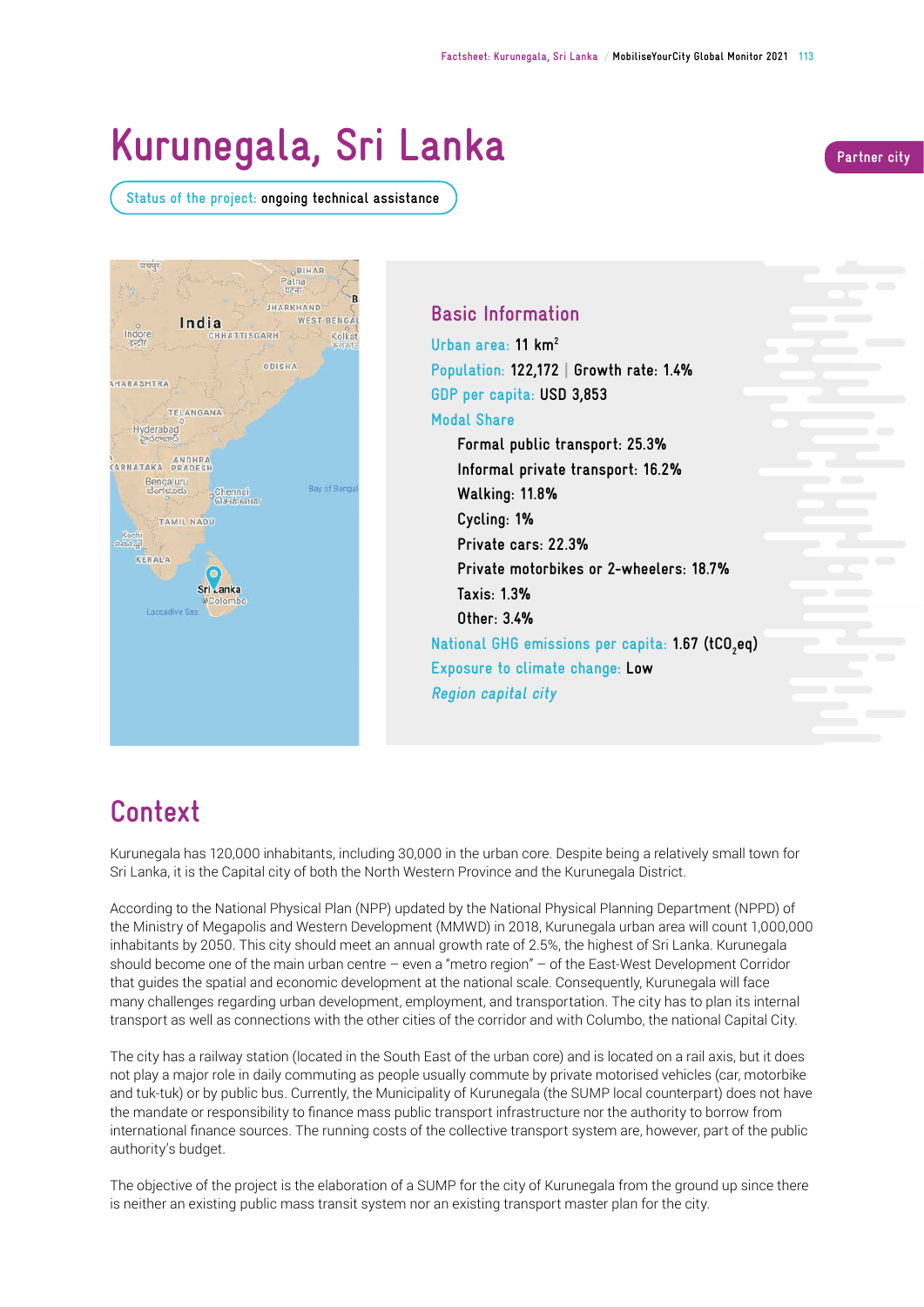# **Kurunegala, Sri Lanka**

**Status of the project: ongoing technical assistance** 





### **Basic Information**

**Urban area: 11 km2 Population: 122,172 | Growth rate: 1.4% GDP per capita: USD 3,853 Modal Share** 

**Formal public transport: 25.3% Informal private transport: 16.2% Walking: 11.8% Cycling: 1% Private cars: 22.3% Private motorbikes or 2-wheelers: 18.7% Taxis: 1.3% Other: 3.4% National GHG emissions per capita: 1.67 (tCO2 eq) Exposure to climate change: Low Region capital city**

## **Context**

Kurunegala has 120,000 inhabitants, including 30,000 in the urban core. Despite being a relatively small town for Sri Lanka, it is the Capital city of both the North Western Province and the Kurunegala District.

According to the National Physical Plan (NPP) updated by the National Physical Planning Department (NPPD) of the Ministry of Megapolis and Western Development (MMWD) in 2018, Kurunegala urban area will count 1,000,000 inhabitants by 2050. This city should meet an annual growth rate of 2.5%, the highest of Sri Lanka. Kurunegala should become one of the main urban centre – even a "metro region" – of the East-West Development Corridor that guides the spatial and economic development at the national scale. Consequently, Kurunegala will face many challenges regarding urban development, employment, and transportation. The city has to plan its internal transport as well as connections with the other cities of the corridor and with Columbo, the national Capital City.

The city has a railway station (located in the South East of the urban core) and is located on a rail axis, but it does not play a major role in daily commuting as people usually commute by private motorised vehicles (car, motorbike and tuk‑tuk) or by public bus. Currently, the Municipality of Kurunegala (the SUMP local counterpart) does not have the mandate or responsibility to fnance mass public transport infrastructure nor the authority to borrow from international fnance sources. The running costs of the collective transport system are, however, part of the public authority's budget.

The objective of the project is the elaboration of a SUMP for the city of Kurunegala from the ground up since there is neither an existing public mass transit system nor an existing transport master plan for the city.